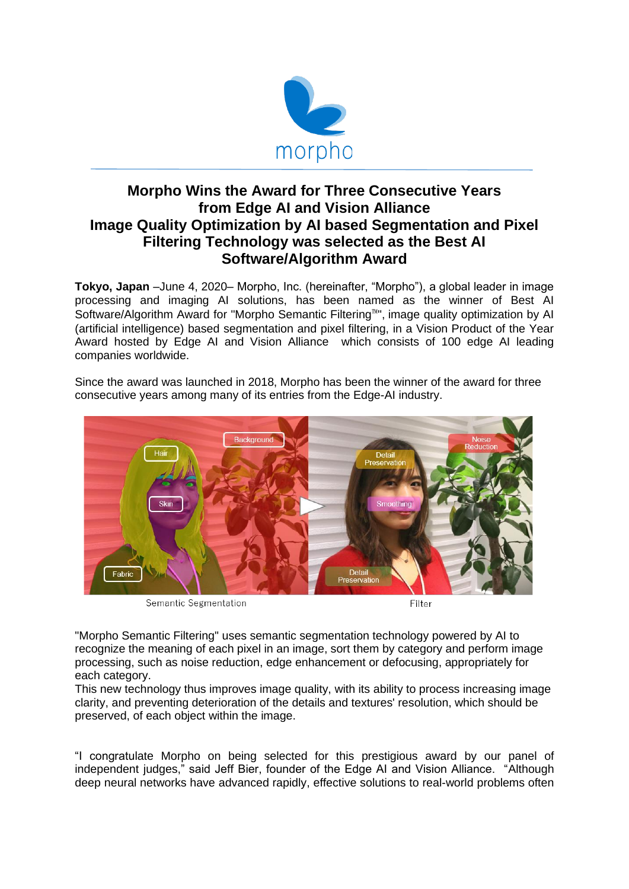

## **Morpho Wins the Award for Three Consecutive Years from Edge AI and Vision Alliance Image Quality Optimization by AI based Segmentation and Pixel Filtering Technology was selected as the Best AI Software/Algorithm Award**

**Tokyo, Japan** –June 4, 2020– Morpho, Inc. (hereinafter, "Morpho"), a global leader in image processing and imaging AI solutions, has been named as the winner of Best AI Software/Algorithm Award for "Morpho Semantic Filtering™", image quality optimization by Al (artificial intelligence) based segmentation and pixel filtering, in a Vision Product of the Year Award hosted by Edge AI and Vision Alliance which consists of 100 edge AI leading companies worldwide.



Since the award was launched in 2018, Morpho has been the winner of the award for three consecutive years among many of its entries from the Edge-AI industry.

Semantic Segmentation

Filter

"Morpho Semantic Filtering" uses semantic segmentation technology powered by AI to recognize the meaning of each pixel in an image, sort them by category and perform image processing, such as noise reduction, edge enhancement or defocusing, appropriately for each category.

This new technology thus improves image quality, with its ability to process increasing image clarity, and preventing deterioration of the details and textures' resolution, which should be preserved, of each object within the image.

"I congratulate Morpho on being selected for this prestigious award by our panel of independent judges," said Jeff Bier, founder of the Edge AI and Vision Alliance. "Although deep neural networks have advanced rapidly, effective solutions to real-world problems often